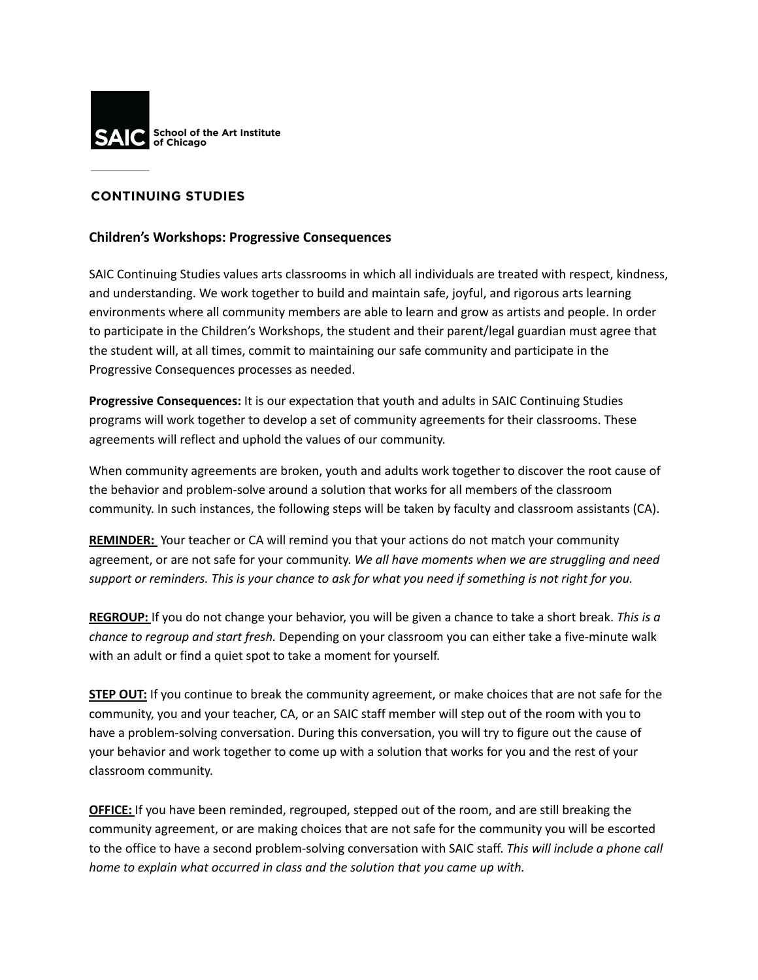

## **CONTINUING STUDIES**

## **Children's Workshops: Progressive Consequences**

SAIC Continuing Studies values arts classrooms in which all individuals are treated with respect, kindness, and understanding. We work together to build and maintain safe, joyful, and rigorous arts learning environments where all community members are able to learn and grow as artists and people. In order to participate in the Children's Workshops, the student and their parent/legal guardian must agree that the student will, at all times, commit to maintaining our safe community and participate in the Progressive Consequences processes as needed.

**Progressive Consequences:** It is our expectation that youth and adults in SAIC Continuing Studies programs will work together to develop a set of community agreements for their classrooms. These agreements will reflect and uphold the values of our community.

When community agreements are broken, youth and adults work together to discover the root cause of the behavior and problem-solve around a solution that works for all members of the classroom community. In such instances, the following steps will be taken by faculty and classroom assistants (CA).

**REMINDER:** Your teacher or CA will remind you that your actions do not match your community agreement, or are not safe for your community. *We all have moments when we are struggling and need* support or reminders. This is your chance to ask for what you need if something is not right for you.

**REGROUP:** If you do not change your behavior, you will be given a chance to take a short break. *This is a chance to regroup and start fresh.* Depending on your classroom you can either take a five-minute walk with an adult or find a quiet spot to take a moment for yourself.

**STEP OUT:** If you continue to break the community agreement, or make choices that are not safe for the community, you and your teacher, CA, or an SAIC staff member will step out of the room with you to have a problem-solving conversation. During this conversation, you will try to figure out the cause of your behavior and work together to come up with a solution that works for you and the rest of your classroom community.

**OFFICE:** If you have been reminded, regrouped, stepped out of the room, and are still breaking the community agreement, or are making choices that are not safe for the community you will be escorted to the office to have a second problem-solving conversation with SAIC staff. *This will include a phone call home to explain what occurred in class and the solution that you came up with.*